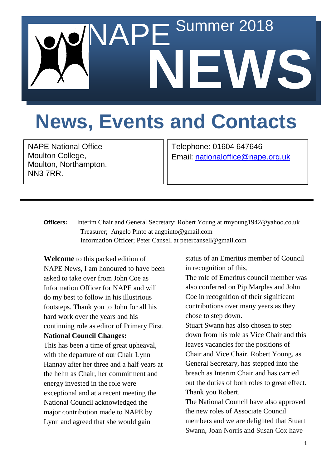# Summer 2018 **NEWS**

## **News, Events and Contacts**

NAPE National Office Moulton College, Moulton, Northampton. NN3 7RR.

Telephone: 01604 647646 Email: [nationaloffice@nape.org.uk](mailto:nationaloffice@nape.org.uk)

**Officers:** Interim Chair and General Secretary; Robert Young at rmyoung1942@yahoo.co.uk Treasurer; Angelo Pinto at angpinto@gmail.com Information Officer; Peter Cansell at petercansell@gmail.com

**Welcome** to this packed edition of NAPE News, I am honoured to have been asked to take over from John Coe as Information Officer for NAPE and will do my best to follow in his illustrious footsteps. Thank you to John for all his hard work over the years and his continuing role as editor of Primary First. **National Council Changes:**

This has been a time of great upheaval, with the departure of our Chair Lynn Hannay after her three and a half years at the helm as Chair, her commitment and energy invested in the role were exceptional and at a recent meeting the National Council acknowledged the major contribution made to NAPE by Lynn and agreed that she would gain

status of an Emeritus member of Council in recognition of this.

The role of Emeritus council member was also conferred on Pip Marples and John Coe in recognition of their significant contributions over many years as they chose to step down.

Stuart Swann has also chosen to step down from his role as Vice Chair and this leaves vacancies for the positions of Chair and Vice Chair. Robert Young, as General Secretary, has stepped into the breach as Interim Chair and has carried out the duties of both roles to great effect. Thank you Robert.

The National Council have also approved the new roles of Associate Council members and we are delighted that Stuart Swann, Joan Norris and Susan Cox have